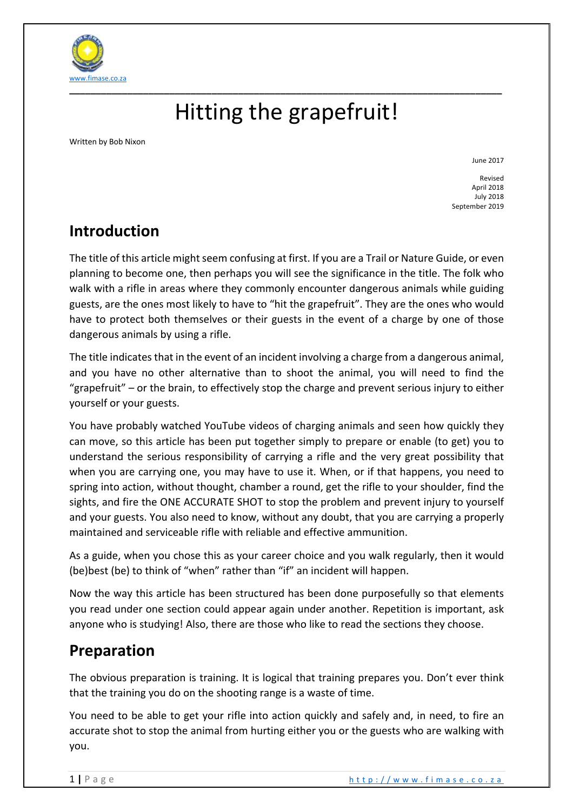

# Hitting the grapefruit!

Written by Bob Nixon

June 2017

Revised April 2018 July 2018 September 2019

## **Introduction**

The title of this article might seem confusing at first. If you are a Trail or Nature Guide, or even planning to become one, then perhaps you will see the significance in the title. The folk who walk with a rifle in areas where they commonly encounter dangerous animals while guiding guests, are the ones most likely to have to "hit the grapefruit". They are the ones who would have to protect both themselves or their guests in the event of a charge by one of those dangerous animals by using a rifle.

The title indicates that in the event of an incident involving a charge from a dangerous animal, and you have no other alternative than to shoot the animal, you will need to find the "grapefruit" – or the brain, to effectively stop the charge and prevent serious injury to either yourself or your guests.

You have probably watched YouTube videos of charging animals and seen how quickly they can move, so this article has been put together simply to prepare or enable (to get) you to understand the serious responsibility of carrying a rifle and the very great possibility that when you are carrying one, you may have to use it. When, or if that happens, you need to spring into action, without thought, chamber a round, get the rifle to your shoulder, find the sights, and fire the ONE ACCURATE SHOT to stop the problem and prevent injury to yourself and your guests. You also need to know, without any doubt, that you are carrying a properly maintained and serviceable rifle with reliable and effective ammunition.

As a guide, when you chose this as your career choice and you walk regularly, then it would (be)best (be) to think of "when" rather than "if" an incident will happen.

Now the way this article has been structured has been done purposefully so that elements you read under one section could appear again under another. Repetition is important, ask anyone who is studying! Also, there are those who like to read the sections they choose.

## **Preparation**

The obvious preparation is training. It is logical that training prepares you. Don't ever think that the training you do on the shooting range is a waste of time.

You need to be able to get your rifle into action quickly and safely and, in need, to fire an accurate shot to stop the animal from hurting either you or the guests who are walking with you.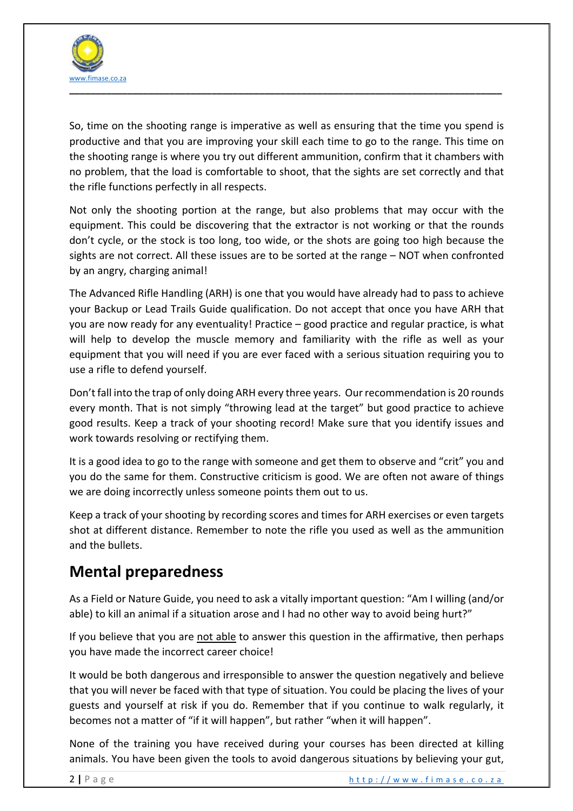

So, time on the shooting range is imperative as well as ensuring that the time you spend is productive and that you are improving your skill each time to go to the range. This time on the shooting range is where you try out different ammunition, confirm that it chambers with no problem, that the load is comfortable to shoot, that the sights are set correctly and that the rifle functions perfectly in all respects.

Not only the shooting portion at the range, but also problems that may occur with the equipment. This could be discovering that the extractor is not working or that the rounds don't cycle, or the stock is too long, too wide, or the shots are going too high because the sights are not correct. All these issues are to be sorted at the range – NOT when confronted by an angry, charging animal!

The Advanced Rifle Handling (ARH) is one that you would have already had to pass to achieve your Backup or Lead Trails Guide qualification. Do not accept that once you have ARH that you are now ready for any eventuality! Practice – good practice and regular practice, is what will help to develop the muscle memory and familiarity with the rifle as well as your equipment that you will need if you are ever faced with a serious situation requiring you to use a rifle to defend yourself.

Don't fall into the trap of only doing ARH every three years. Our recommendation is 20 rounds every month. That is not simply "throwing lead at the target" but good practice to achieve good results. Keep a track of your shooting record! Make sure that you identify issues and work towards resolving or rectifying them.

It is a good idea to go to the range with someone and get them to observe and "crit" you and you do the same for them. Constructive criticism is good. We are often not aware of things we are doing incorrectly unless someone points them out to us.

Keep a track of your shooting by recording scores and times for ARH exercises or even targets shot at different distance. Remember to note the rifle you used as well as the ammunition and the bullets.

## **Mental preparedness**

As a Field or Nature Guide, you need to ask a vitally important question: "Am I willing (and/or able) to kill an animal if a situation arose and I had no other way to avoid being hurt?"

If you believe that you are not able to answer this question in the affirmative, then perhaps you have made the incorrect career choice!

It would be both dangerous and irresponsible to answer the question negatively and believe that you will never be faced with that type of situation. You could be placing the lives of your guests and yourself at risk if you do. Remember that if you continue to walk regularly, it becomes not a matter of "if it will happen", but rather "when it will happen".

None of the training you have received during your courses has been directed at killing animals. You have been given the tools to avoid dangerous situations by believing your gut,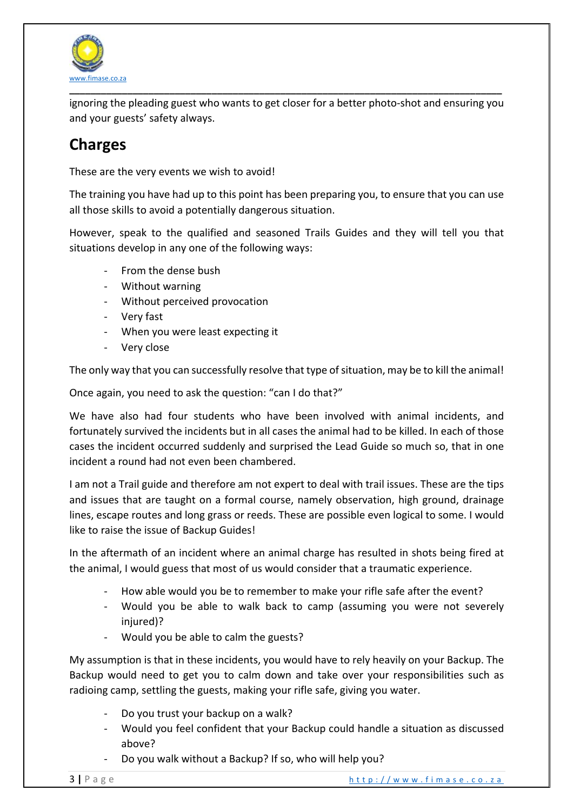

ignoring the pleading guest who wants to get closer for a better photo-shot and ensuring you and your guests' safety always.

## **Charges**

These are the very events we wish to avoid!

The training you have had up to this point has been preparing you, to ensure that you can use all those skills to avoid a potentially dangerous situation.

However, speak to the qualified and seasoned Trails Guides and they will tell you that situations develop in any one of the following ways:

- From the dense bush
- Without warning
- Without perceived provocation
- Very fast
- When you were least expecting it
- Very close

The only way that you can successfully resolve that type of situation, may be to kill the animal!

Once again, you need to ask the question: "can I do that?"

We have also had four students who have been involved with animal incidents, and fortunately survived the incidents but in all cases the animal had to be killed. In each of those cases the incident occurred suddenly and surprised the Lead Guide so much so, that in one incident a round had not even been chambered.

I am not a Trail guide and therefore am not expert to deal with trail issues. These are the tips and issues that are taught on a formal course, namely observation, high ground, drainage lines, escape routes and long grass or reeds. These are possible even logical to some. I would like to raise the issue of Backup Guides!

In the aftermath of an incident where an animal charge has resulted in shots being fired at the animal, I would guess that most of us would consider that a traumatic experience.

- How able would you be to remember to make your rifle safe after the event?
- Would you be able to walk back to camp (assuming you were not severely injured)?
- Would you be able to calm the guests?

My assumption is that in these incidents, you would have to rely heavily on your Backup. The Backup would need to get you to calm down and take over your responsibilities such as radioing camp, settling the guests, making your rifle safe, giving you water.

- Do you trust your backup on a walk?
- Would you feel confident that your Backup could handle a situation as discussed above?
- Do you walk without a Backup? If so, who will help you?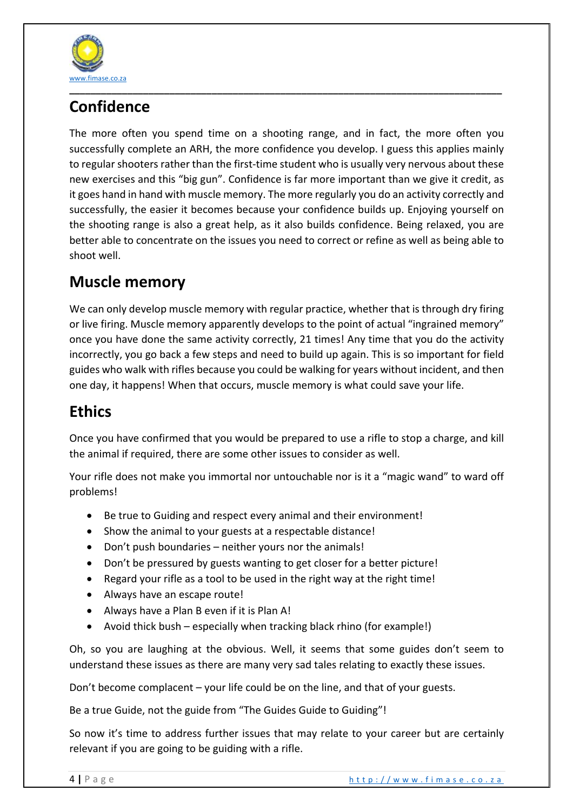

## **Confidence**

The more often you spend time on a shooting range, and in fact, the more often you successfully complete an ARH, the more confidence you develop. I guess this applies mainly to regular shooters rather than the first-time student who is usually very nervous about these new exercises and this "big gun". Confidence is far more important than we give it credit, as it goes hand in hand with muscle memory. The more regularly you do an activity correctly and successfully, the easier it becomes because your confidence builds up. Enjoying yourself on the shooting range is also a great help, as it also builds confidence. Being relaxed, you are better able to concentrate on the issues you need to correct or refine as well as being able to shoot well.

## **Muscle memory**

We can only develop muscle memory with regular practice, whether that is through dry firing or live firing. Muscle memory apparently develops to the point of actual "ingrained memory" once you have done the same activity correctly, 21 times! Any time that you do the activity incorrectly, you go back a few steps and need to build up again. This is so important for field guides who walk with rifles because you could be walking for years without incident, and then one day, it happens! When that occurs, muscle memory is what could save your life.

## **Ethics**

Once you have confirmed that you would be prepared to use a rifle to stop a charge, and kill the animal if required, there are some other issues to consider as well.

Your rifle does not make you immortal nor untouchable nor is it a "magic wand" to ward off problems!

- Be true to Guiding and respect every animal and their environment!
- Show the animal to your guests at a respectable distance!
- Don't push boundaries neither yours nor the animals!
- Don't be pressured by guests wanting to get closer for a better picture!
- Regard your rifle as a tool to be used in the right way at the right time!
- Always have an escape route!
- Always have a Plan B even if it is Plan A!
- Avoid thick bush especially when tracking black rhino (for example!)

Oh, so you are laughing at the obvious. Well, it seems that some guides don't seem to understand these issues as there are many very sad tales relating to exactly these issues.

Don't become complacent – your life could be on the line, and that of your guests.

Be a true Guide, not the guide from "The Guides Guide to Guiding"!

So now it's time to address further issues that may relate to your career but are certainly relevant if you are going to be guiding with a rifle.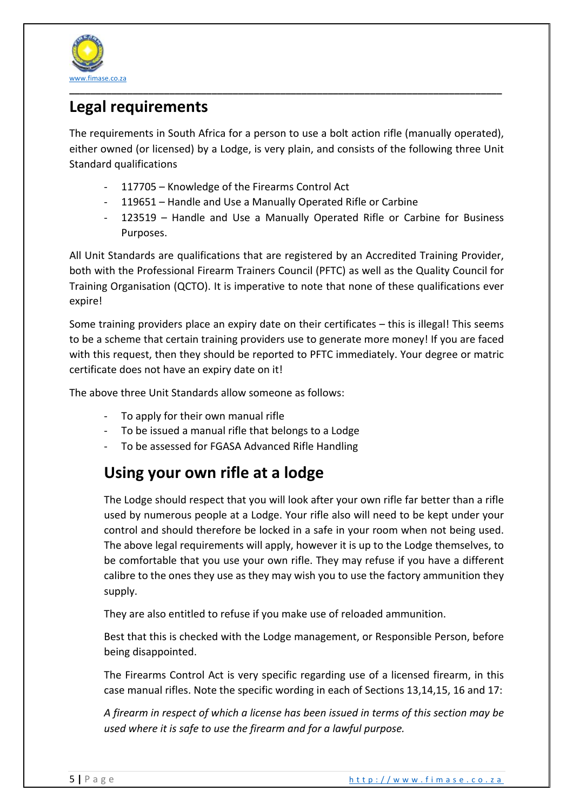

## **Legal requirements**

The requirements in South Africa for a person to use a bolt action rifle (manually operated), either owned (or licensed) by a Lodge, is very plain, and consists of the following three Unit Standard qualifications

- 117705 Knowledge of the Firearms Control Act
- 119651 Handle and Use a Manually Operated Rifle or Carbine
- 123519 Handle and Use a Manually Operated Rifle or Carbine for Business Purposes.

All Unit Standards are qualifications that are registered by an Accredited Training Provider, both with the Professional Firearm Trainers Council (PFTC) as well as the Quality Council for Training Organisation (QCTO). It is imperative to note that none of these qualifications ever expire!

Some training providers place an expiry date on their certificates – this is illegal! This seems to be a scheme that certain training providers use to generate more money! If you are faced with this request, then they should be reported to PFTC immediately. Your degree or matric certificate does not have an expiry date on it!

The above three Unit Standards allow someone as follows:

- To apply for their own manual rifle
- To be issued a manual rifle that belongs to a Lodge
- To be assessed for FGASA Advanced Rifle Handling

## **Using your own rifle at a lodge**

The Lodge should respect that you will look after your own rifle far better than a rifle used by numerous people at a Lodge. Your rifle also will need to be kept under your control and should therefore be locked in a safe in your room when not being used. The above legal requirements will apply, however it is up to the Lodge themselves, to be comfortable that you use your own rifle. They may refuse if you have a different calibre to the ones they use as they may wish you to use the factory ammunition they supply.

They are also entitled to refuse if you make use of reloaded ammunition.

Best that this is checked with the Lodge management, or Responsible Person, before being disappointed.

The Firearms Control Act is very specific regarding use of a licensed firearm, in this case manual rifles. Note the specific wording in each of Sections 13,14,15, 16 and 17:

*A firearm in respect of which a license has been issued in terms of this section may be used where it is safe to use the firearm and for a lawful purpose.*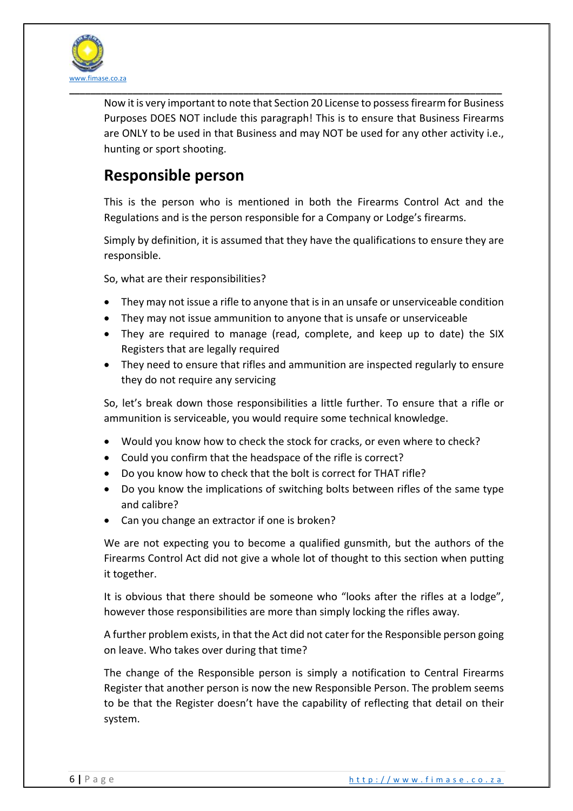

Now it is very important to note that Section 20 License to possess firearm for Business Purposes DOES NOT include this paragraph! This is to ensure that Business Firearms are ONLY to be used in that Business and may NOT be used for any other activity i.e., hunting or sport shooting.

### **Responsible person**

This is the person who is mentioned in both the Firearms Control Act and the Regulations and is the person responsible for a Company or Lodge's firearms.

Simply by definition, it is assumed that they have the qualifications to ensure they are responsible.

So, what are their responsibilities?

- They may not issue a rifle to anyone that is in an unsafe or unserviceable condition
- They may not issue ammunition to anyone that is unsafe or unserviceable
- They are required to manage (read, complete, and keep up to date) the SIX Registers that are legally required
- They need to ensure that rifles and ammunition are inspected regularly to ensure they do not require any servicing

So, let's break down those responsibilities a little further. To ensure that a rifle or ammunition is serviceable, you would require some technical knowledge.

- Would you know how to check the stock for cracks, or even where to check?
- Could you confirm that the headspace of the rifle is correct?
- Do you know how to check that the bolt is correct for THAT rifle?
- Do you know the implications of switching bolts between rifles of the same type and calibre?
- Can you change an extractor if one is broken?

We are not expecting you to become a qualified gunsmith, but the authors of the Firearms Control Act did not give a whole lot of thought to this section when putting it together.

It is obvious that there should be someone who "looks after the rifles at a lodge", however those responsibilities are more than simply locking the rifles away.

A further problem exists, in that the Act did not cater for the Responsible person going on leave. Who takes over during that time?

The change of the Responsible person is simply a notification to Central Firearms Register that another person is now the new Responsible Person. The problem seems to be that the Register doesn't have the capability of reflecting that detail on their system.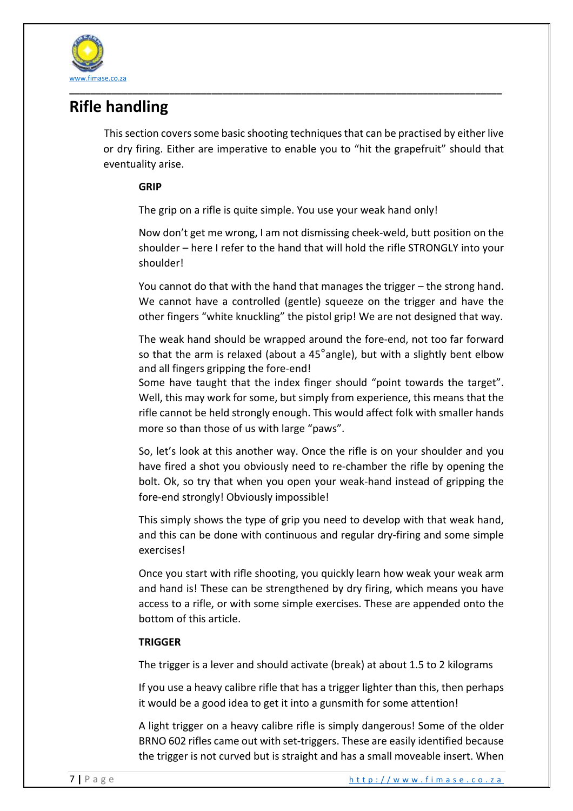

## **Rifle handling**

This section covers some basic shooting techniquesthat can be practised by either live or dry firing. Either are imperative to enable you to "hit the grapefruit" should that eventuality arise.

### **GRIP**

The grip on a rifle is quite simple. You use your weak hand only!

Now don't get me wrong, I am not dismissing cheek-weld, butt position on the shoulder – here I refer to the hand that will hold the rifle STRONGLY into your shoulder!

You cannot do that with the hand that manages the trigger – the strong hand. We cannot have a controlled (gentle) squeeze on the trigger and have the other fingers "white knuckling" the pistol grip! We are not designed that way.

The weak hand should be wrapped around the fore-end, not too far forward so that the arm is relaxed (about a 45°angle), but with a slightly bent elbow and all fingers gripping the fore-end!

Some have taught that the index finger should "point towards the target". Well, this may work for some, but simply from experience, this means that the rifle cannot be held strongly enough. This would affect folk with smaller hands more so than those of us with large "paws".

So, let's look at this another way. Once the rifle is on your shoulder and you have fired a shot you obviously need to re-chamber the rifle by opening the bolt. Ok, so try that when you open your weak-hand instead of gripping the fore-end strongly! Obviously impossible!

This simply shows the type of grip you need to develop with that weak hand, and this can be done with continuous and regular dry-firing and some simple exercises!

Once you start with rifle shooting, you quickly learn how weak your weak arm and hand is! These can be strengthened by dry firing, which means you have access to a rifle, or with some simple exercises. These are appended onto the bottom of this article.

### **TRIGGER**

The trigger is a lever and should activate (break) at about 1.5 to 2 kilograms

If you use a heavy calibre rifle that has a trigger lighter than this, then perhaps it would be a good idea to get it into a gunsmith for some attention!

A light trigger on a heavy calibre rifle is simply dangerous! Some of the older BRNO 602 rifles came out with set-triggers. These are easily identified because the trigger is not curved but is straight and has a small moveable insert. When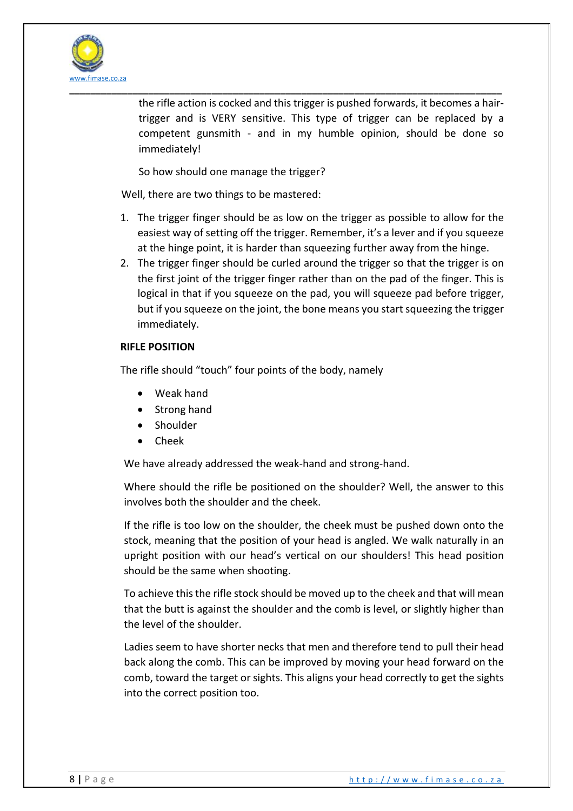

the rifle action is cocked and this trigger is pushed forwards, it becomes a hairtrigger and is VERY sensitive. This type of trigger can be replaced by a competent gunsmith - and in my humble opinion, should be done so immediately!

So how should one manage the trigger?

Well, there are two things to be mastered:

- 1. The trigger finger should be as low on the trigger as possible to allow for the easiest way of setting off the trigger. Remember, it's a lever and if you squeeze at the hinge point, it is harder than squeezing further away from the hinge.
- 2. The trigger finger should be curled around the trigger so that the trigger is on the first joint of the trigger finger rather than on the pad of the finger. This is logical in that if you squeeze on the pad, you will squeeze pad before trigger, but if you squeeze on the joint, the bone means you start squeezing the trigger immediately.

### **RIFLE POSITION**

The rifle should "touch" four points of the body, namely

- Weak hand
- Strong hand
- Shoulder
- Cheek

We have already addressed the weak-hand and strong-hand.

Where should the rifle be positioned on the shoulder? Well, the answer to this involves both the shoulder and the cheek.

If the rifle is too low on the shoulder, the cheek must be pushed down onto the stock, meaning that the position of your head is angled. We walk naturally in an upright position with our head's vertical on our shoulders! This head position should be the same when shooting.

To achieve this the rifle stock should be moved up to the cheek and that will mean that the butt is against the shoulder and the comb is level, or slightly higher than the level of the shoulder.

Ladies seem to have shorter necks that men and therefore tend to pull their head back along the comb. This can be improved by moving your head forward on the comb, toward the target or sights. This aligns your head correctly to get the sights into the correct position too.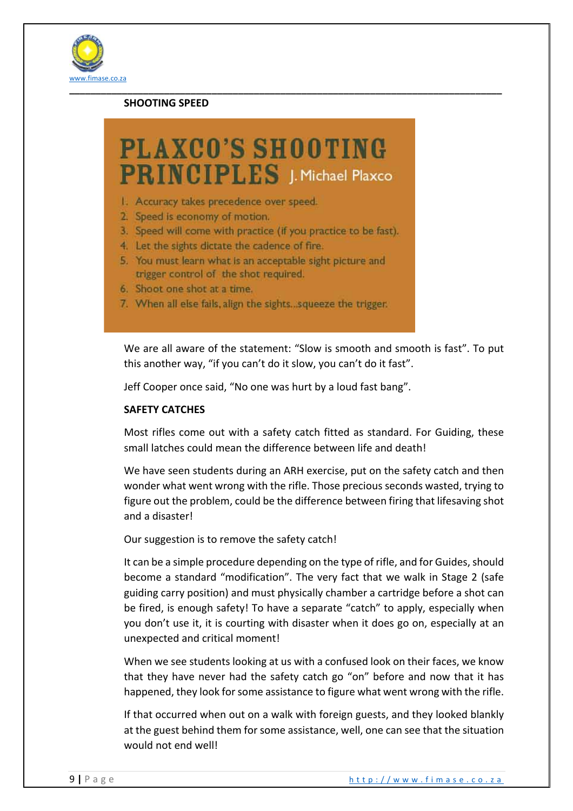

### **SHOOTING SPEED**

## **PLAXCO'S SHOOTING PRINCIPLES** J. Michael Plaxco

- 1. Accuracy takes precedence over speed.
- 2. Speed is economy of motion.
- 3. Speed will come with practice (if you practice to be fast).
- 4. Let the sights dictate the cadence of fire.
- 5. You must learn what is an acceptable sight picture and trigger control of the shot required.
- 6. Shoot one shot at a time.
- 7. When all else fails, align the sights...squeeze the trigger.

We are all aware of the statement: "Slow is smooth and smooth is fast". To put this another way, "if you can't do it slow, you can't do it fast".

Jeff Cooper once said, "No one was hurt by a loud fast bang".

### **SAFETY CATCHES**

Most rifles come out with a safety catch fitted as standard. For Guiding, these small latches could mean the difference between life and death!

We have seen students during an ARH exercise, put on the safety catch and then wonder what went wrong with the rifle. Those precious seconds wasted, trying to figure out the problem, could be the difference between firing that lifesaving shot and a disaster!

Our suggestion is to remove the safety catch!

It can be a simple procedure depending on the type of rifle, and for Guides, should become a standard "modification". The very fact that we walk in Stage 2 (safe guiding carry position) and must physically chamber a cartridge before a shot can be fired, is enough safety! To have a separate "catch" to apply, especially when you don't use it, it is courting with disaster when it does go on, especially at an unexpected and critical moment!

When we see students looking at us with a confused look on their faces, we know that they have never had the safety catch go "on" before and now that it has happened, they look for some assistance to figure what went wrong with the rifle.

If that occurred when out on a walk with foreign guests, and they looked blankly at the guest behind them for some assistance, well, one can see that the situation would not end well!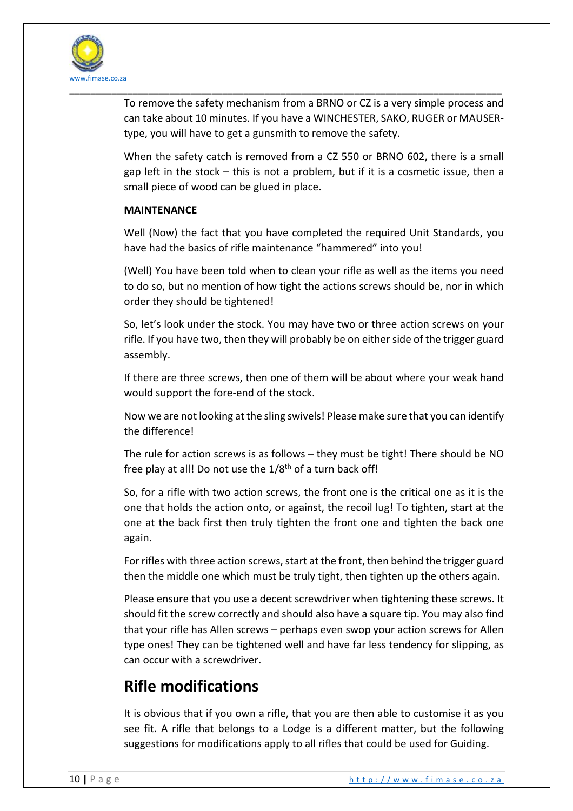

To remove the safety mechanism from a BRNO or CZ is a very simple process and can take about 10 minutes. If you have a WINCHESTER, SAKO, RUGER or MAUSERtype, you will have to get a gunsmith to remove the safety.

When the safety catch is removed from a CZ 550 or BRNO 602, there is a small gap left in the stock – this is not a problem, but if it is a cosmetic issue, then a small piece of wood can be glued in place.

### **MAINTENANCE**

Well (Now) the fact that you have completed the required Unit Standards, you have had the basics of rifle maintenance "hammered" into you!

(Well) You have been told when to clean your rifle as well as the items you need to do so, but no mention of how tight the actions screws should be, nor in which order they should be tightened!

So, let's look under the stock. You may have two or three action screws on your rifle. If you have two, then they will probably be on either side of the trigger guard assembly.

If there are three screws, then one of them will be about where your weak hand would support the fore-end of the stock.

Now we are not looking at the sling swivels! Please make sure that you can identify the difference!

The rule for action screws is as follows – they must be tight! There should be NO free play at all! Do not use the  $1/8<sup>th</sup>$  of a turn back off!

So, for a rifle with two action screws, the front one is the critical one as it is the one that holds the action onto, or against, the recoil lug! To tighten, start at the one at the back first then truly tighten the front one and tighten the back one again.

For rifles with three action screws, start at the front, then behind the trigger guard then the middle one which must be truly tight, then tighten up the others again.

Please ensure that you use a decent screwdriver when tightening these screws. It should fit the screw correctly and should also have a square tip. You may also find that your rifle has Allen screws – perhaps even swop your action screws for Allen type ones! They can be tightened well and have far less tendency for slipping, as can occur with a screwdriver.

## **Rifle modifications**

It is obvious that if you own a rifle, that you are then able to customise it as you see fit. A rifle that belongs to a Lodge is a different matter, but the following suggestions for modifications apply to all rifles that could be used for Guiding.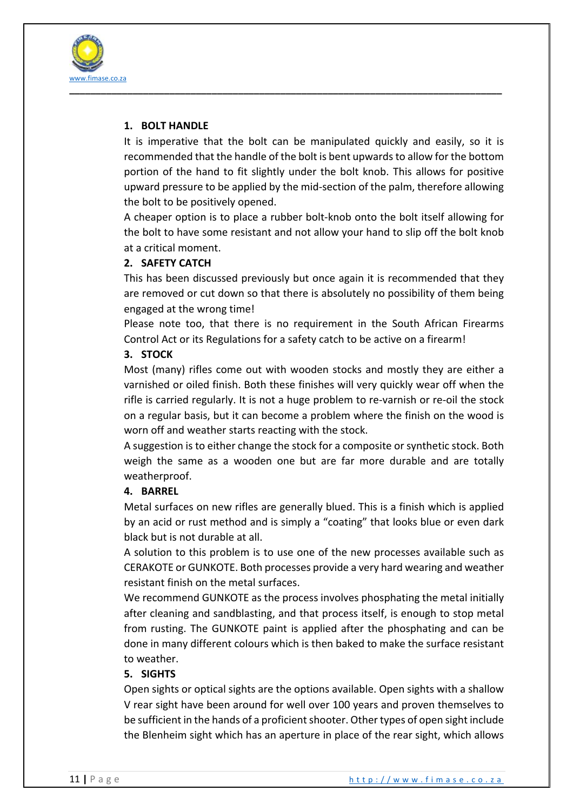

### **1. BOLT HANDLE**

It is imperative that the bolt can be manipulated quickly and easily, so it is recommended that the handle of the bolt is bent upwards to allow for the bottom portion of the hand to fit slightly under the bolt knob. This allows for positive upward pressure to be applied by the mid-section of the palm, therefore allowing the bolt to be positively opened.

A cheaper option is to place a rubber bolt-knob onto the bolt itself allowing for the bolt to have some resistant and not allow your hand to slip off the bolt knob at a critical moment.

### **2. SAFETY CATCH**

This has been discussed previously but once again it is recommended that they are removed or cut down so that there is absolutely no possibility of them being engaged at the wrong time!

Please note too, that there is no requirement in the South African Firearms Control Act or its Regulations for a safety catch to be active on a firearm!

### **3. STOCK**

Most (many) rifles come out with wooden stocks and mostly they are either a varnished or oiled finish. Both these finishes will very quickly wear off when the rifle is carried regularly. It is not a huge problem to re-varnish or re-oil the stock on a regular basis, but it can become a problem where the finish on the wood is worn off and weather starts reacting with the stock.

A suggestion is to either change the stock for a composite or synthetic stock. Both weigh the same as a wooden one but are far more durable and are totally weatherproof.

### **4. BARREL**

Metal surfaces on new rifles are generally blued. This is a finish which is applied by an acid or rust method and is simply a "coating" that looks blue or even dark black but is not durable at all.

A solution to this problem is to use one of the new processes available such as CERAKOTE or GUNKOTE. Both processes provide a very hard wearing and weather resistant finish on the metal surfaces.

We recommend GUNKOTE as the process involves phosphating the metal initially after cleaning and sandblasting, and that process itself, is enough to stop metal from rusting. The GUNKOTE paint is applied after the phosphating and can be done in many different colours which is then baked to make the surface resistant to weather.

### **5. SIGHTS**

Open sights or optical sights are the options available. Open sights with a shallow V rear sight have been around for well over 100 years and proven themselves to be sufficient in the hands of a proficient shooter. Other types of open sight include the Blenheim sight which has an aperture in place of the rear sight, which allows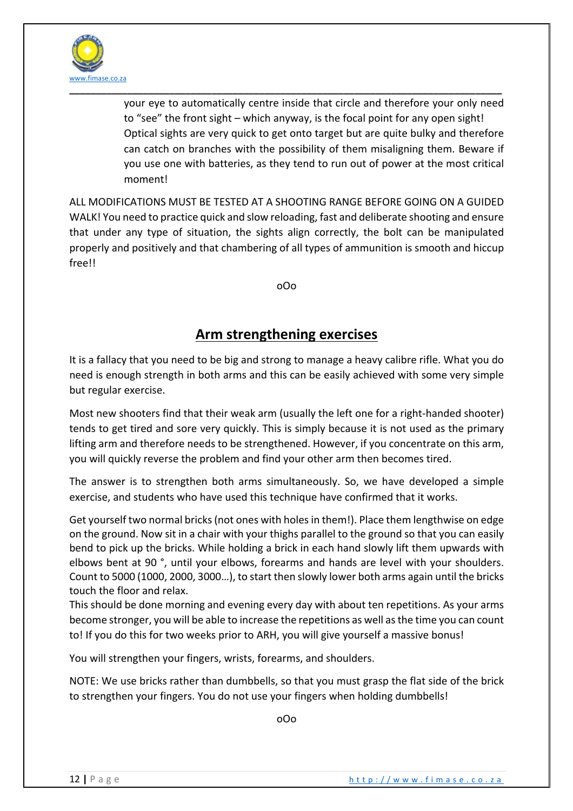

your eye to automatically centre inside that circle and therefore your only need to "see" the front sight – which anyway, is the focal point for any open sight! Optical sights are very quick to get onto target but are quite bulky and therefore can catch on branches with the possibility of them misaligning them. Beware if you use one with batteries, as they tend to run out of power at the most critical moment!

ALL MODIFICATIONS MUST BE TESTED AT A SHOOTING RANGE BEFORE GOING ON A GUIDED WALK! You need to practice quick and slow reloading, fast and deliberate shooting and ensure that under any type of situation, the sights align correctly, the bolt can be manipulated properly and positively and that chambering of all types of ammunition is smooth and hiccup free!!

oOo

### **Arm strengthening exercises**

It is a fallacy that you need to be big and strong to manage a heavy calibre rifle. What you do need is enough strength in both arms and this can be easily achieved with some very simple but regular exercise.

Most new shooters find that their weak arm (usually the left one for a right-handed shooter) tends to get tired and sore very quickly. This is simply because it is not used as the primary lifting arm and therefore needs to be strengthened. However, if you concentrate on this arm, you will quickly reverse the problem and find your other arm then becomes tired.

The answer is to strengthen both arms simultaneously. So, we have developed a simple exercise, and students who have used this technique have confirmed that it works.

Get yourself two normal bricks(not ones with holes in them!). Place them lengthwise on edge on the ground. Now sit in a chair with your thighs parallel to the ground so that you can easily bend to pick up the bricks. While holding a brick in each hand slowly lift them upwards with elbows bent at 90 °, until your elbows, forearms and hands are level with your shoulders. Count to 5000 (1000, 2000, 3000…), to start then slowly lower both arms again until the bricks touch the floor and relax.

This should be done morning and evening every day with about ten repetitions. As your arms become stronger, you will be able to increase the repetitions as well as the time you can count to! If you do this for two weeks prior to ARH, you will give yourself a massive bonus!

You will strengthen your fingers, wrists, forearms, and shoulders.

NOTE: We use bricks rather than dumbbells, so that you must grasp the flat side of the brick to strengthen your fingers. You do not use your fingers when holding dumbbells!

oOo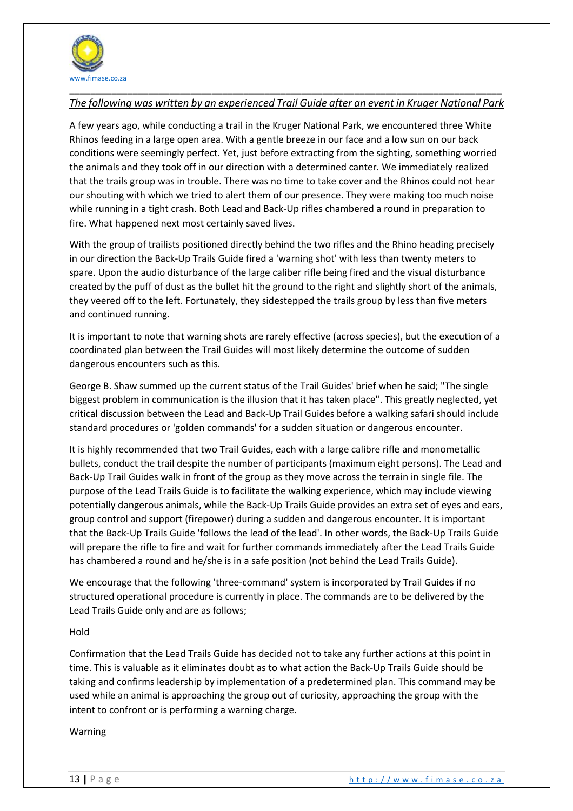

### **\_\_\_\_\_\_\_\_\_\_\_\_\_\_\_\_\_\_\_\_\_\_\_\_\_\_\_\_\_\_\_\_\_\_\_\_\_\_\_\_\_\_\_\_\_\_\_\_\_\_\_\_\_\_\_\_\_\_\_\_\_\_\_\_\_\_\_\_\_\_\_\_\_\_\_\_\_\_\_\_\_\_** *The following was written by an experienced Trail Guide after an event in Kruger National Park*

A few years ago, while conducting a trail in the Kruger National Park, we encountered three White Rhinos feeding in a large open area. With a gentle breeze in our face and a low sun on our back conditions were seemingly perfect. Yet, just before extracting from the sighting, something worried the animals and they took off in our direction with a determined canter. We immediately realized that the trails group was in trouble. There was no time to take cover and the Rhinos could not hear our shouting with which we tried to alert them of our presence. They were making too much noise while running in a tight crash. Both Lead and Back-Up rifles chambered a round in preparation to fire. What happened next most certainly saved lives.

With the group of trailists positioned directly behind the two rifles and the Rhino heading precisely in our direction the Back-Up Trails Guide fired a 'warning shot' with less than twenty meters to spare. Upon the audio disturbance of the large caliber rifle being fired and the visual disturbance created by the puff of dust as the bullet hit the ground to the right and slightly short of the animals, they veered off to the left. Fortunately, they sidestepped the trails group by less than five meters and continued running.

It is important to note that warning shots are rarely effective (across species), but the execution of a coordinated plan between the Trail Guides will most likely determine the outcome of sudden dangerous encounters such as this.

George B. Shaw summed up the current status of the Trail Guides' brief when he said; "The single biggest problem in communication is the illusion that it has taken place". This greatly neglected, yet critical discussion between the Lead and Back-Up Trail Guides before a walking safari should include standard procedures or 'golden commands' for a sudden situation or dangerous encounter.

It is highly recommended that two Trail Guides, each with a large calibre rifle and monometallic bullets, conduct the trail despite the number of participants (maximum eight persons). The Lead and Back-Up Trail Guides walk in front of the group as they move across the terrain in single file. The purpose of the Lead Trails Guide is to facilitate the walking experience, which may include viewing potentially dangerous animals, while the Back-Up Trails Guide provides an extra set of eyes and ears, group control and support (firepower) during a sudden and dangerous encounter. It is important that the Back-Up Trails Guide 'follows the lead of the lead'. In other words, the Back-Up Trails Guide will prepare the rifle to fire and wait for further commands immediately after the Lead Trails Guide has chambered a round and he/she is in a safe position (not behind the Lead Trails Guide).

We encourage that the following 'three-command' system is incorporated by Trail Guides if no structured operational procedure is currently in place. The commands are to be delivered by the Lead Trails Guide only and are as follows;

#### Hold

Confirmation that the Lead Trails Guide has decided not to take any further actions at this point in time. This is valuable as it eliminates doubt as to what action the Back-Up Trails Guide should be taking and confirms leadership by implementation of a predetermined plan. This command may be used while an animal is approaching the group out of curiosity, approaching the group with the intent to confront or is performing a warning charge.

#### Warning